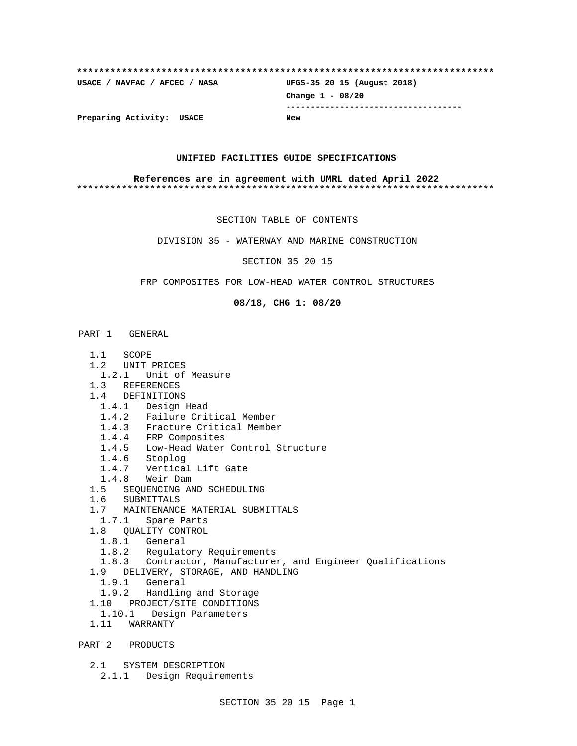# **\*\*\*\*\*\*\*\*\*\*\*\*\*\*\*\*\*\*\*\*\*\*\*\*\*\*\*\*\*\*\*\*\*\*\*\*\*\*\*\*\*\*\*\*\*\*\*\*\*\*\*\*\*\*\*\*\*\*\*\*\*\*\*\*\*\*\*\*\*\*\*\*\*\* USACE / NAVFAC / AFCEC / NASA UFGS-35 20 15 (August 2018) Change 1 - 08/20 ------------------------------------ Preparing Activity: USACE New**

## **UNIFIED FACILITIES GUIDE SPECIFICATIONS**

## **References are in agreement with UMRL dated April 2022 \*\*\*\*\*\*\*\*\*\*\*\*\*\*\*\*\*\*\*\*\*\*\*\*\*\*\*\*\*\*\*\*\*\*\*\*\*\*\*\*\*\*\*\*\*\*\*\*\*\*\*\*\*\*\*\*\*\*\*\*\*\*\*\*\*\*\*\*\*\*\*\*\*\***

SECTION TABLE OF CONTENTS

DIVISION 35 - WATERWAY AND MARINE CONSTRUCTION

SECTION 35 20 15

FRP COMPOSITES FOR LOW-HEAD WATER CONTROL STRUCTURES

## **08/18, CHG 1: 08/20**

PART 1 GENERAL

- 1.1 SCOPE
- 1.2 UNIT PRICES
- 1.2.1 Unit of Measure
- 1.3 REFERENCES
- 1.4 DEFINITIONS
	- 1.4.1 Design Head
	- 1.4.2 Failure Critical Member
	- 1.4.3 Fracture Critical Member
	- 1.4.4 FRP Composites
	- 1.4.5 Low-Head Water Control Structure
	- 1.4.6 Stoplog
	- 1.4.7 Vertical Lift Gate
	- 1.4.8 Weir Dam
- 1.5 SEQUENCING AND SCHEDULING
- 1.6 SUBMITTALS
- 1.7 MAINTENANCE MATERIAL SUBMITTALS
- 1.7.1 Spare Parts
- 1.8 QUALITY CONTROL
	- 1.8.1 General
	- 1.8.2 Regulatory Requirements
- 1.8.3 Contractor, Manufacturer, and Engineer Qualifications
- 1.9 DELIVERY, STORAGE, AND HANDLING
- 1.9.1 General
- 1.9.2 Handling and Storage
- 1.10 PROJECT/SITE CONDITIONS
- 1.10.1 Design Parameters
- 1.11 WARRANTY
- PART 2 PRODUCTS
	- 2.1 SYSTEM DESCRIPTION
		- 2.1.1 Design Requirements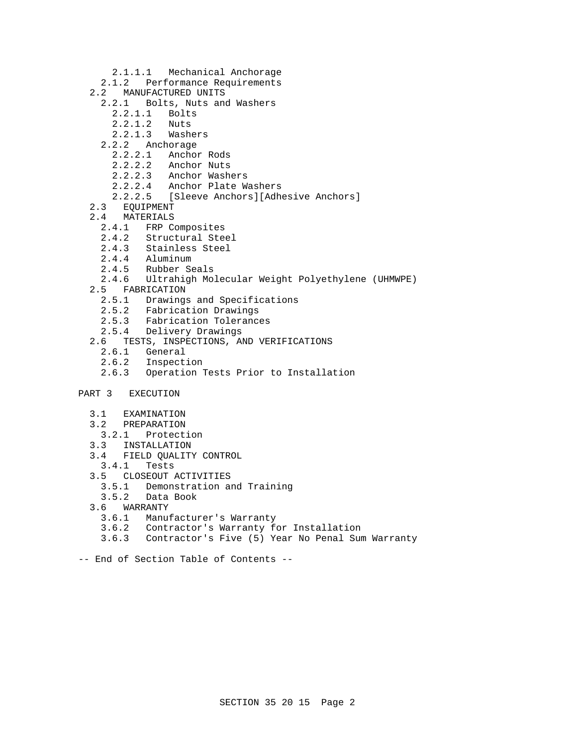- 2.1.1.1 Mechanical Anchorage
- 2.1.2 Performance Requirements
- 2.2 MANUFACTURED UNITS
	- 2.2.1 Bolts, Nuts and Washers
		- 2.2.1.1 Bolts
		- 2.2.1.2 Nuts
		- 2.2.1.3 Washers
	- 2.2.2 Anchorage
		- 2.2.2.1 Anchor Rods
		- 2.2.2.2 Anchor Nuts
		- 2.2.2.3 Anchor Washers
		- 2.2.2.4 Anchor Plate Washers
		- 2.2.2.5 [Sleeve Anchors][Adhesive Anchors]
- 2.3 EQUIPMENT
- 2.4 MATERIALS
	- 2.4.1 FRP Composites
	- 2.4.2 Structural Steel
- 2.4.3 Stainless Steel
- 2.4.4 Aluminum
	- 2.4.5 Rubber Seals<br>2.4.6 Ultrahigh Mo
	- 2.4.6 Ultrahigh Molecular Weight Polyethylene (UHMWPE)
	- 2.5 FABRICATION
		- 2.5.1 Drawings and Specifications
		- 2.5.2 Fabrication Drawings
		- 2.5.3 Fabrication Tolerances
		- 2.5.4 Delivery Drawings
	- 2.6 TESTS, INSPECTIONS, AND VERIFICATIONS
		- 2.6.1 General
		- 2.6.2 Inspection
		- 2.6.3 Operation Tests Prior to Installation
- PART 3 EXECUTION
	- 3.1 EXAMINATION
	- 3.2 PREPARATION
	- 3.2.1 Protection
	- 3.3 INSTALLATION
	- 3.4 FIELD QUALITY CONTROL
	- 3.4.1 Tests
	- 3.5 CLOSEOUT ACTIVITIES
		- 3.5.1 Demonstration and Training
	- 3.5.2 Data Book
	- 3.6 WARRANTY
		- 3.6.1 Manufacturer's Warranty
		- 3.6.2 Contractor's Warranty for Installation
		- 3.6.3 Contractor's Five (5) Year No Penal Sum Warranty
- -- End of Section Table of Contents --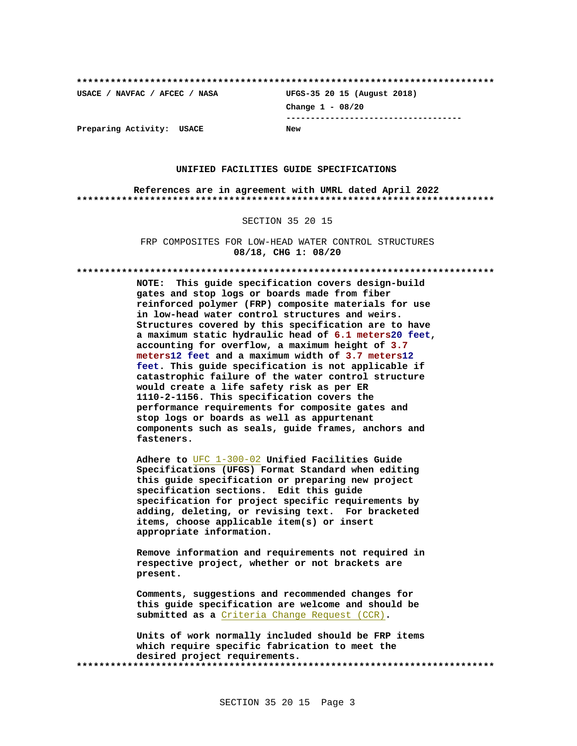**\*\*\*\*\*\*\*\*\*\*\*\*\*\*\*\*\*\*\*\*\*\*\*\*\*\*\*\*\*\*\*\*\*\*\*\*\*\*\*\*\*\*\*\*\*\*\*\*\*\*\*\*\*\*\*\*\*\*\*\*\*\*\*\*\*\*\*\*\*\*\*\*\*\* USACE / NAVFAC / AFCEC / NASA UFGS-35 20 15 (August 2018) Change 1 - 08/20 ------------------------------------ Preparing Activity: USACE New**

# **UNIFIED FACILITIES GUIDE SPECIFICATIONS**

**References are in agreement with UMRL dated April 2022 \*\*\*\*\*\*\*\*\*\*\*\*\*\*\*\*\*\*\*\*\*\*\*\*\*\*\*\*\*\*\*\*\*\*\*\*\*\*\*\*\*\*\*\*\*\*\*\*\*\*\*\*\*\*\*\*\*\*\*\*\*\*\*\*\*\*\*\*\*\*\*\*\*\***

## SECTION 35 20 15

FRP COMPOSITES FOR LOW-HEAD WATER CONTROL STRUCTURES **08/18, CHG 1: 08/20**

**\*\*\*\*\*\*\*\*\*\*\*\*\*\*\*\*\*\*\*\*\*\*\*\*\*\*\*\*\*\*\*\*\*\*\*\*\*\*\*\*\*\*\*\*\*\*\*\*\*\*\*\*\*\*\*\*\*\*\*\*\*\*\*\*\*\*\*\*\*\*\*\*\*\***

**NOTE: This guide specification covers design-build gates and stop logs or boards made from fiber reinforced polymer (FRP) composite materials for use in low-head water control structures and weirs. Structures covered by this specification are to have a maximum static hydraulic head of 6.1 meters20 feet, accounting for overflow, a maximum height of 3.7 meters12 feet and a maximum width of 3.7 meters12 feet. This guide specification is not applicable if catastrophic failure of the water control structure would create a life safety risk as per ER 1110-2-1156. This specification covers the performance requirements for composite gates and stop logs or boards as well as appurtenant components such as seals, guide frames, anchors and fasteners.**

**Adhere to** UFC 1-300-02 **Unified Facilities Guide Specifications (UFGS) Format Standard when editing this guide specification or preparing new project specification sections. Edit this guide specification for project specific requirements by adding, deleting, or revising text. For bracketed items, choose applicable item(s) or insert appropriate information.**

**Remove information and requirements not required in respective project, whether or not brackets are present.**

**Comments, suggestions and recommended changes for this guide specification are welcome and should be submitted as a** Criteria Change Request (CCR)**.**

**Units of work normally included should be FRP items which require specific fabrication to meet the desired project requirements. \*\*\*\*\*\*\*\*\*\*\*\*\*\*\*\*\*\*\*\*\*\*\*\*\*\*\*\*\*\*\*\*\*\*\*\*\*\*\*\*\*\*\*\*\*\*\*\*\*\*\*\*\*\*\*\*\*\*\*\*\*\*\*\*\*\*\*\*\*\*\*\*\*\***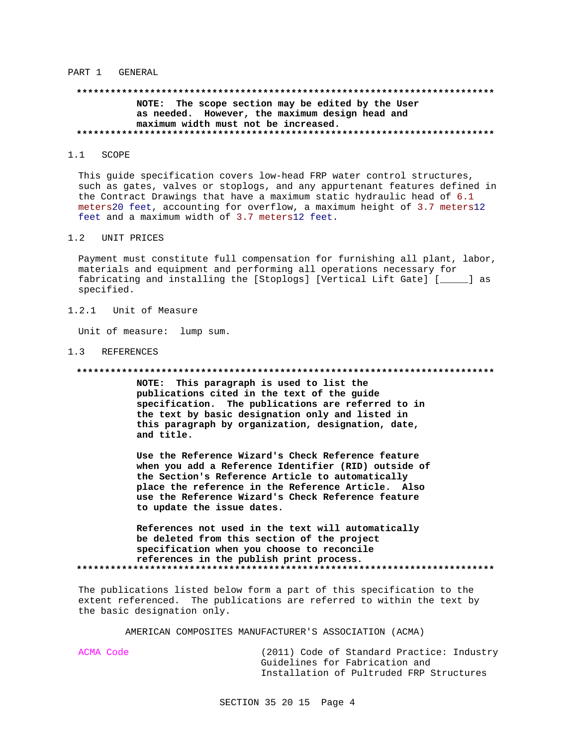## PART 1 GENERAL

# \*\*\*\*\*\*\*\*\*\*\*\*\*\*\*\*\*\*\*\*\*\*\*\*\*\*\*\*\*\*\*\* NOTE: The scope section may be edited by the User as needed. However, the maximum design head and maximum width must not be increased.

### $1.1$ SCOPE

This guide specification covers low-head FRP water control structures, such as gates, valves or stoplogs, and any appurtenant features defined in the Contract Drawings that have a maximum static hydraulic head of 6.1 meters20 feet, accounting for overflow, a maximum height of 3.7 meters12 feet and a maximum width of 3.7 meters12 feet.

#### $1.2$ UNIT PRICES

Payment must constitute full compensation for furnishing all plant, labor, materials and equipment and performing all operations necessary for fabricating and installing the [Stoplogs] [Vertical Lift Gate] [\_\_\_\_\_] as specified.

### $1.2.1$ Unit of Measure

Unit of measure: lump sum.

## 1.3 REFERENCES

### 

NOTE: This paragraph is used to list the publications cited in the text of the guide specification. The publications are referred to in the text by basic designation only and listed in this paragraph by organization, designation, date, and title.

Use the Reference Wizard's Check Reference feature when you add a Reference Identifier (RID) outside of the Section's Reference Article to automatically place the reference in the Reference Article. Also use the Reference Wizard's Check Reference feature to update the issue dates.

References not used in the text will automatically be deleted from this section of the project specification when you choose to reconcile references in the publish print process. 

The publications listed below form a part of this specification to the extent referenced. The publications are referred to within the text by the basic designation only.

AMERICAN COMPOSITES MANUFACTURER'S ASSOCIATION (ACMA)

ACMA Code

(2011) Code of Standard Practice: Industry Guidelines for Fabrication and Installation of Pultruded FRP Structures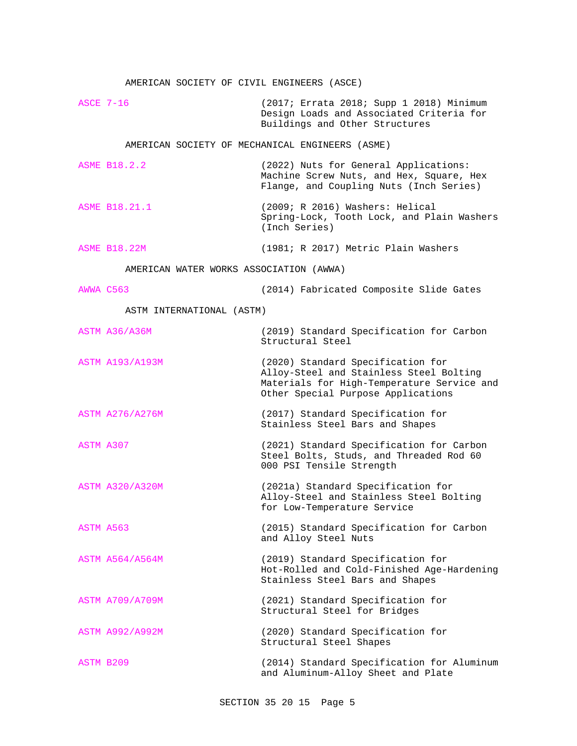|             | AMERICAN SOCIETY OF CIVIL ENGINEERS (ASCE)      |                                                                                                                                                                  |
|-------------|-------------------------------------------------|------------------------------------------------------------------------------------------------------------------------------------------------------------------|
| $ASCE$ 7-16 |                                                 | (2017; Errata 2018; Supp 1 2018) Minimum<br>Design Loads and Associated Criteria for<br>Buildings and Other Structures                                           |
|             | AMERICAN SOCIETY OF MECHANICAL ENGINEERS (ASME) |                                                                                                                                                                  |
|             | <b>ASME B18.2.2</b>                             | (2022) Nuts for General Applications:<br>Machine Screw Nuts, and Hex, Square, Hex<br>Flange, and Coupling Nuts (Inch Series)                                     |
|             | ASME B18.21.1                                   | (2009; R 2016) Washers: Helical<br>Spring-Lock, Tooth Lock, and Plain Washers<br>(Inch Series)                                                                   |
|             | <b>ASME B18.22M</b>                             | (1981; R 2017) Metric Plain Washers                                                                                                                              |
|             | AMERICAN WATER WORKS ASSOCIATION (AWWA)         |                                                                                                                                                                  |
|             | AWWA C563                                       | (2014) Fabricated Composite Slide Gates                                                                                                                          |
|             | ASTM INTERNATIONAL (ASTM)                       |                                                                                                                                                                  |
|             | ASTM A36/A36M                                   | (2019) Standard Specification for Carbon<br>Structural Steel                                                                                                     |
|             | <b>ASTM A193/A193M</b>                          | (2020) Standard Specification for<br>Alloy-Steel and Stainless Steel Bolting<br>Materials for High-Temperature Service and<br>Other Special Purpose Applications |
|             | <b>ASTM A276/A276M</b>                          | (2017) Standard Specification for<br>Stainless Steel Bars and Shapes                                                                                             |
| ASTM A307   |                                                 | (2021) Standard Specification for Carbon<br>Steel Bolts, Studs, and Threaded Rod 60<br>000 PSI Tensile Strength                                                  |
|             | <b>ASTM A320/A320M</b>                          | (2021a) Standard Specification for<br>Alloy-Steel and Stainless Steel Bolting<br>for Low-Temperature Service                                                     |
| ASTM A563   |                                                 | (2015) Standard Specification for Carbon<br>and Alloy Steel Nuts                                                                                                 |
|             | <b>ASTM A564/A564M</b>                          | (2019) Standard Specification for<br>Hot-Rolled and Cold-Finished Age-Hardening<br>Stainless Steel Bars and Shapes                                               |
|             | <b>ASTM A709/A709M</b>                          | (2021) Standard Specification for<br>Structural Steel for Bridges                                                                                                |
|             | <b>ASTM A992/A992M</b>                          | (2020) Standard Specification for<br>Structural Steel Shapes                                                                                                     |
| ASTM B209   |                                                 | (2014) Standard Specification for Aluminum<br>and Aluminum-Alloy Sheet and Plate                                                                                 |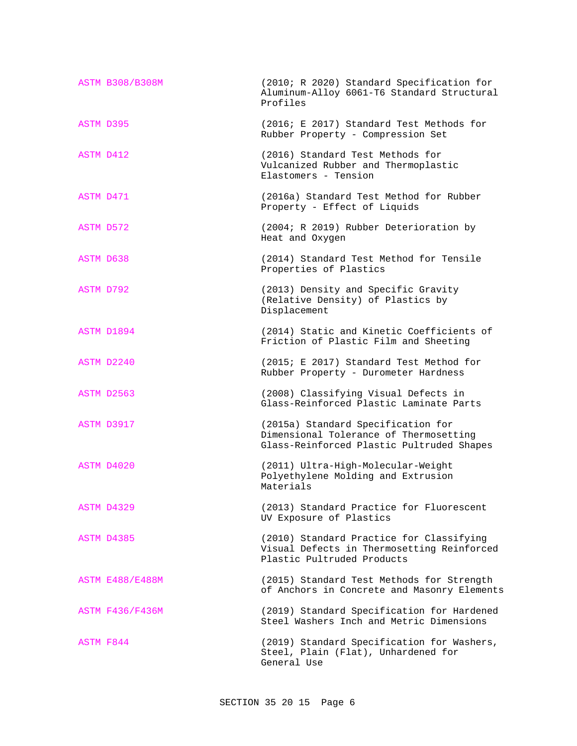|                  | <b>ASTM B308/B308M</b> | (2010; R 2020) Standard Specification for<br>Aluminum-Alloy 6061-T6 Standard Structural<br>Profiles                       |
|------------------|------------------------|---------------------------------------------------------------------------------------------------------------------------|
| <b>ASTM D395</b> |                        | (2016; E 2017) Standard Test Methods for<br>Rubber Property - Compression Set                                             |
| ASTM D412        |                        | (2016) Standard Test Methods for<br>Vulcanized Rubber and Thermoplastic<br>Elastomers - Tension                           |
| ASTM D471        |                        | (2016a) Standard Test Method for Rubber<br>Property - Effect of Liquids                                                   |
| ASTM D572        |                        | (2004; R 2019) Rubber Deterioration by<br>Heat and Oxygen                                                                 |
| ASTM D638        |                        | (2014) Standard Test Method for Tensile<br>Properties of Plastics                                                         |
| ASTM D792        |                        | (2013) Density and Specific Gravity<br>(Relative Density) of Plastics by<br>Displacement                                  |
|                  | ASTM D1894             | (2014) Static and Kinetic Coefficients of<br>Friction of Plastic Film and Sheeting                                        |
|                  | ASTM D2240             | (2015; E 2017) Standard Test Method for<br>Rubber Property - Durometer Hardness                                           |
|                  | ASTM D2563             | (2008) Classifying Visual Defects in<br>Glass-Reinforced Plastic Laminate Parts                                           |
|                  | ASTM D3917             | (2015a) Standard Specification for<br>Dimensional Tolerance of Thermosetting<br>Glass-Reinforced Plastic Pultruded Shapes |
|                  | ASTM D4020             | (2011) Ultra-High-Molecular-Weight<br>Polyethylene Molding and Extrusion<br>Materials                                     |
|                  | ASTM D4329             | (2013) Standard Practice for Fluorescent<br>UV Exposure of Plastics                                                       |
|                  | ASTM D4385             | (2010) Standard Practice for Classifying<br>Visual Defects in Thermosetting Reinforced<br>Plastic Pultruded Products      |
|                  | <b>ASTM E488/E488M</b> | (2015) Standard Test Methods for Strength<br>of Anchors in Concrete and Masonry Elements                                  |
|                  | <b>ASTM F436/F436M</b> | (2019) Standard Specification for Hardened<br>Steel Washers Inch and Metric Dimensions                                    |
| ASTM F844        |                        | (2019) Standard Specification for Washers,<br>Steel, Plain (Flat), Unhardened for<br>General Use                          |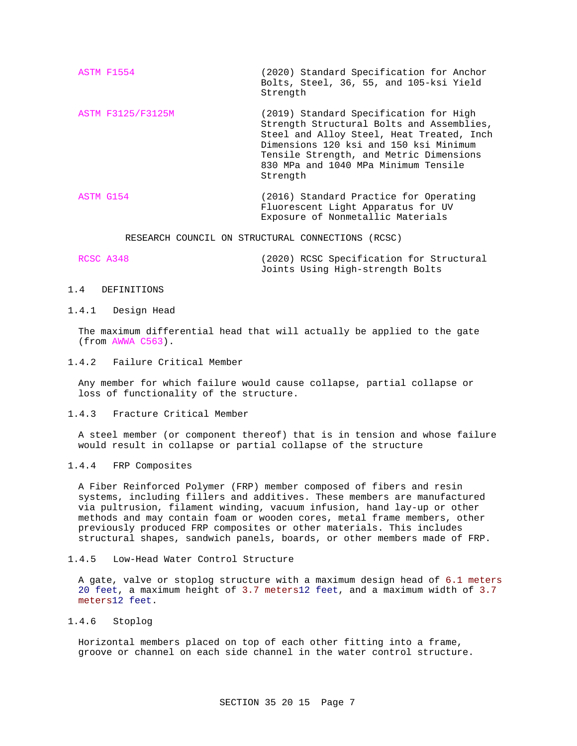- ASTM F1554 (2020) Standard Specification for Anchor Bolts, Steel, 36, 55, and 105-ksi Yield Strength
- ASTM F3125/F3125M (2019) Standard Specification for High Strength Structural Bolts and Assemblies, Steel and Alloy Steel, Heat Treated, Inch Dimensions 120 ksi and 150 ksi Minimum Tensile Strength, and Metric Dimensions 830 MPa and 1040 MPa Minimum Tensile Strength
- ASTM G154 (2016) Standard Practice for Operating Fluorescent Light Apparatus for UV Exposure of Nonmetallic Materials

RESEARCH COUNCIL ON STRUCTURAL CONNECTIONS (RCSC)

| RCSC A348 |  |                                  | (2020) RCSC Specification for Structural |
|-----------|--|----------------------------------|------------------------------------------|
|           |  | Joints Using High-strength Bolts |                                          |

1.4 DEFINITIONS

# 1.4.1 Design Head

The maximum differential head that will actually be applied to the gate (from AWWA C563).

1.4.2 Failure Critical Member

Any member for which failure would cause collapse, partial collapse or loss of functionality of the structure.

1.4.3 Fracture Critical Member

A steel member (or component thereof) that is in tension and whose failure would result in collapse or partial collapse of the structure

1.4.4 FRP Composites

A Fiber Reinforced Polymer (FRP) member composed of fibers and resin systems, including fillers and additives. These members are manufactured via pultrusion, filament winding, vacuum infusion, hand lay-up or other methods and may contain foam or wooden cores, metal frame members, other previously produced FRP composites or other materials. This includes structural shapes, sandwich panels, boards, or other members made of FRP.

1.4.5 Low-Head Water Control Structure

A gate, valve or stoplog structure with a maximum design head of 6.1 meters 20 feet, a maximum height of 3.7 meters12 feet, and a maximum width of 3.7 meters12 feet.

1.4.6 Stoplog

Horizontal members placed on top of each other fitting into a frame, groove or channel on each side channel in the water control structure.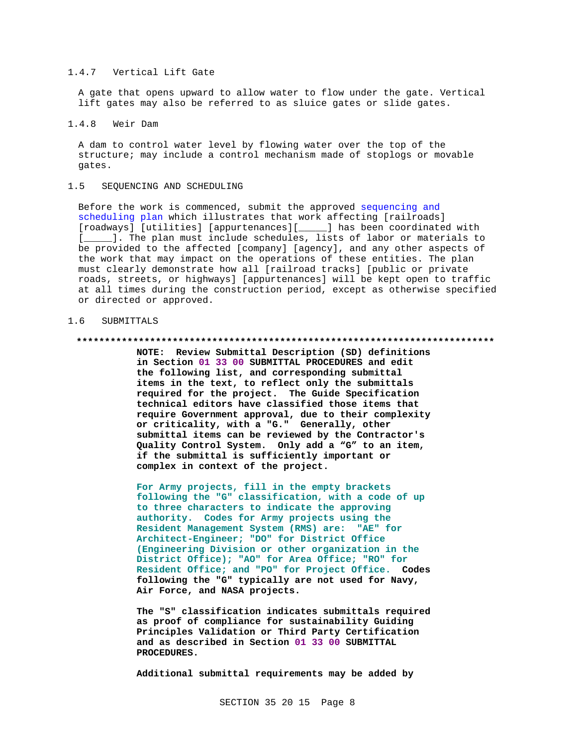# 1.4.7 Vertical Lift Gate

A gate that opens upward to allow water to flow under the gate. Vertical lift gates may also be referred to as sluice gates or slide gates.

# 1.4.8 Weir Dam

A dam to control water level by flowing water over the top of the structure; may include a control mechanism made of stoplogs or movable gates.

# 1.5 SEQUENCING AND SCHEDULING

Before the work is commenced, submit the approved sequencing and scheduling plan which illustrates that work affecting [railroads] [roadways] [utilities] [appurtenances][\_\_\_\_\_] has been coordinated with [11]. The plan must include schedules, lists of labor or materials to be provided to the affected [company] [agency], and any other aspects of the work that may impact on the operations of these entities. The plan must clearly demonstrate how all [railroad tracks] [public or private roads, streets, or highways] [appurtenances] will be kept open to traffic at all times during the construction period, except as otherwise specified or directed or approved.

# 1.6 SUBMITTALS

### **\*\*\*\*\*\*\*\*\*\*\*\*\*\*\*\*\*\*\*\*\*\*\*\*\*\*\*\*\*\*\*\*\*\*\*\*\*\*\*\*\*\*\*\*\*\*\*\*\*\*\*\*\*\*\*\*\*\*\*\*\*\*\*\*\*\*\*\*\*\*\*\*\*\***

**NOTE: Review Submittal Description (SD) definitions in Section 01 33 00 SUBMITTAL PROCEDURES and edit the following list, and corresponding submittal items in the text, to reflect only the submittals required for the project. The Guide Specification technical editors have classified those items that require Government approval, due to their complexity or criticality, with a "G." Generally, other submittal items can be reviewed by the Contractor's Quality Control System. Only add a "G" to an item, if the submittal is sufficiently important or complex in context of the project.**

**For Army projects, fill in the empty brackets following the "G" classification, with a code of up to three characters to indicate the approving authority. Codes for Army projects using the Resident Management System (RMS) are: "AE" for Architect-Engineer; "DO" for District Office (Engineering Division or other organization in the District Office); "AO" for Area Office; "RO" for Resident Office; and "PO" for Project Office. Codes following the "G" typically are not used for Navy, Air Force, and NASA projects.**

**The "S" classification indicates submittals required as proof of compliance for sustainability Guiding Principles Validation or Third Party Certification and as described in Section 01 33 00 SUBMITTAL PROCEDURES.**

**Additional submittal requirements may be added by**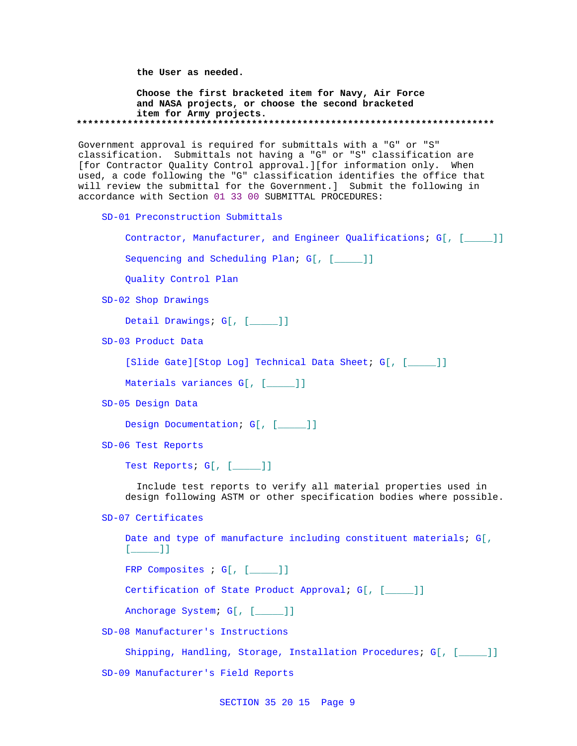**the User as needed.**

**Choose the first bracketed item for Navy, Air Force and NASA projects, or choose the second bracketed item for Army projects. \*\*\*\*\*\*\*\*\*\*\*\*\*\*\*\*\*\*\*\*\*\*\*\*\*\*\*\*\*\*\*\*\*\*\*\*\*\*\*\*\*\*\*\*\*\*\*\*\*\*\*\*\*\*\*\*\*\*\*\*\*\*\*\*\*\*\*\*\*\*\*\*\*\***

Government approval is required for submittals with a "G" or "S" classification. Submittals not having a "G" or "S" classification are [for Contractor Quality Control approval.][for information only. When used, a code following the "G" classification identifies the office that will review the submittal for the Government.] Submit the following in accordance with Section 01 33 00 SUBMITTAL PROCEDURES:

SD-01 Preconstruction Submittals

Contractor, Manufacturer, and Engineer Qualifications; G[, [\_\_\_\_\_]]

Sequencing and Scheduling Plan; G[, [\_\_\_\_]]

Quality Control Plan

SD-02 Shop Drawings

Detail Drawings; G[, [\_\_\_\_]]

SD-03 Product Data

[Slide Gate][Stop Log] Technical Data Sheet; G[, [\_\_\_\_\_]]

Materials variances G[, [ \_\_\_\_\_]]

SD-05 Design Data

Design Documentation; G[, [\_\_\_\_]]

SD-06 Test Reports

Test Reports; G[, [\_\_\_\_\_]]

 Include test reports to verify all material properties used in design following ASTM or other specification bodies where possible.

SD-07 Certificates

Date and type of manufacture including constituent materials; G[,  $[$   $]$ 

FRP Composites ; G[, [\_\_\_\_]]

Certification of State Product Approval; G[, [\_\_\_\_\_]]

Anchorage System; G[, [\_\_\_\_\_]]

SD-08 Manufacturer's Instructions

Shipping, Handling, Storage, Installation Procedures; G[, [\_\_\_\_]]

SD-09 Manufacturer's Field Reports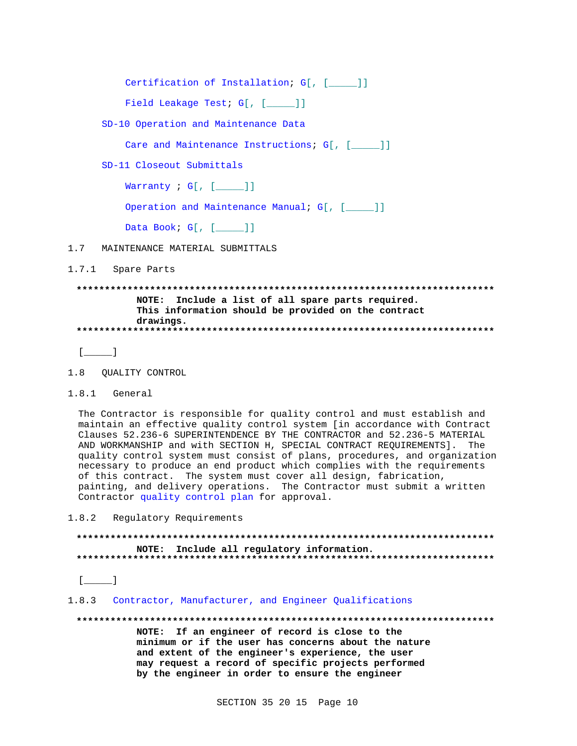Certification of Installation; G[, [\_\_\_\_]]

Field Leakage Test; G[, [\_\_\_\_]]

SD-10 Operation and Maintenance Data

Care and Maintenance Instructions; G[, [\_\_\_\_]]

SD-11 Closeout Submittals

Warranty  $i$  G[, [ $\qquad$ ]]

Operation and Maintenance Manual; G[, [\_\_\_\_]]

Data Book; G[, [\_\_\_\_]]

 $1.7$ MAINTENANCE MATERIAL SUBMITTALS

1.7.1 Spare Parts

# NOTE: Include a list of all spare parts required. This information should be provided on the contract drawings.

 $[\underline{\hspace{1cm}}]$ 

1.8.1 General

The Contractor is responsible for quality control and must establish and maintain an effective quality control system [in accordance with Contract Clauses 52.236-6 SUPERINTENDENCE BY THE CONTRACTOR and 52.236-5 MATERIAL AND WORKMANSHIP and with SECTION H, SPECIAL CONTRACT REOUIREMENTS]. The quality control system must consist of plans, procedures, and organization necessary to produce an end product which complies with the requirements of this contract. The system must cover all design, fabrication, painting, and delivery operations. The Contractor must submit a written Contractor quality control plan for approval.

 $1.8.2$ Regulatory Requirements

# NOTE: Include all regulatory information.

 $[$ 

# 1.8.3 Contractor, Manufacturer, and Engineer Qualifications

NOTE: If an engineer of record is close to the minimum or if the user has concerns about the nature and extent of the engineer's experience, the user may request a record of specific projects performed by the engineer in order to ensure the engineer

<sup>1.8</sup> QUALITY CONTROL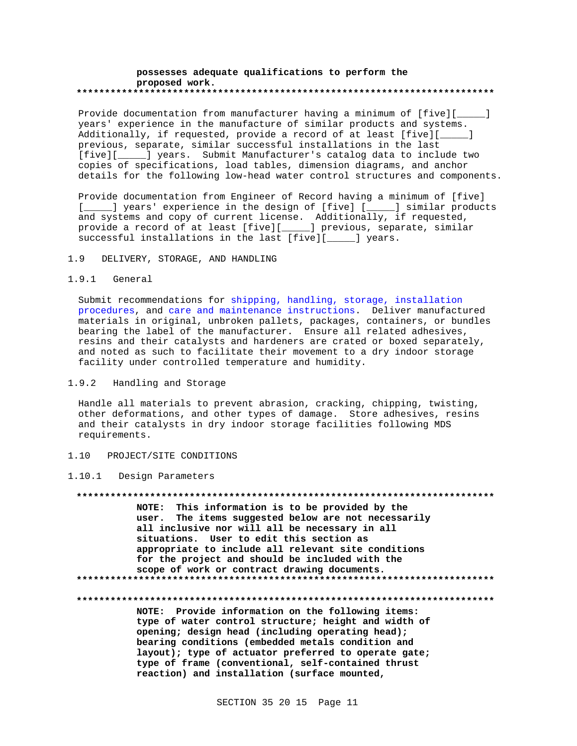## **possesses adequate qualifications to perform the proposed work. \*\*\*\*\*\*\*\*\*\*\*\*\*\*\*\*\*\*\*\*\*\*\*\*\*\*\*\*\*\*\*\*\*\*\*\*\*\*\*\*\*\*\*\*\*\*\*\*\*\*\*\*\*\*\*\*\*\*\*\*\*\*\*\*\*\*\*\*\*\*\*\*\*\***

Provide documentation from manufacturer having a minimum of [five][\_\_\_\_\_] years' experience in the manufacture of similar products and systems. Additionally, if requested, provide a record of at least [five][\_\_\_\_\_] previous, separate, similar successful installations in the last [five][\_\_\_\_\_] years. Submit Manufacturer's catalog data to include two copies of specifications, load tables, dimension diagrams, and anchor details for the following low-head water control structures and components.

Provide documentation from Engineer of Record having a minimum of [five] [\_\_\_\_\_] years' experience in the design of [five] [\_\_\_\_\_] similar products and systems and copy of current license. Additionally, if requested, provide a record of at least [five][\_\_\_\_\_] previous, separate, similar successful installations in the last [five][\_\_\_\_\_] years.

# 1.9 DELIVERY, STORAGE, AND HANDLING

# 1.9.1 General

Submit recommendations for shipping, handling, storage, installation procedures, and care and maintenance instructions. Deliver manufactured materials in original, unbroken pallets, packages, containers, or bundles bearing the label of the manufacturer. Ensure all related adhesives, resins and their catalysts and hardeners are crated or boxed separately, and noted as such to facilitate their movement to a dry indoor storage facility under controlled temperature and humidity.

# 1.9.2 Handling and Storage

Handle all materials to prevent abrasion, cracking, chipping, twisting, other deformations, and other types of damage. Store adhesives, resins and their catalysts in dry indoor storage facilities following MDS requirements.

## 1.10 PROJECT/SITE CONDITIONS

## 1.10.1 Design Parameters

**\*\*\*\*\*\*\*\*\*\*\*\*\*\*\*\*\*\*\*\*\*\*\*\*\*\*\*\*\*\*\*\*\*\*\*\*\*\*\*\*\*\*\*\*\*\*\*\*\*\*\*\*\*\*\*\*\*\*\*\*\*\*\*\*\*\*\*\*\*\*\*\*\*\* NOTE: This information is to be provided by the user. The items suggested below are not necessarily all inclusive nor will all be necessary in all situations. User to edit this section as appropriate to include all relevant site conditions for the project and should be included with the scope of work or contract drawing documents. \*\*\*\*\*\*\*\*\*\*\*\*\*\*\*\*\*\*\*\*\*\*\*\*\*\*\*\*\*\*\*\*\*\*\*\*\*\*\*\*\*\*\*\*\*\*\*\*\*\*\*\*\*\*\*\*\*\*\*\*\*\*\*\*\*\*\*\*\*\*\*\*\*\***

### **\*\*\*\*\*\*\*\*\*\*\*\*\*\*\*\*\*\*\*\*\*\*\*\*\*\*\*\*\*\*\*\*\*\*\*\*\*\*\*\*\*\*\*\*\*\*\*\*\*\*\*\*\*\*\*\*\*\*\*\*\*\*\*\*\*\*\*\*\*\*\*\*\*\***

**NOTE: Provide information on the following items: type of water control structure; height and width of opening; design head (including operating head); bearing conditions (embedded metals condition and layout); type of actuator preferred to operate gate; type of frame (conventional, self-contained thrust reaction) and installation (surface mounted,**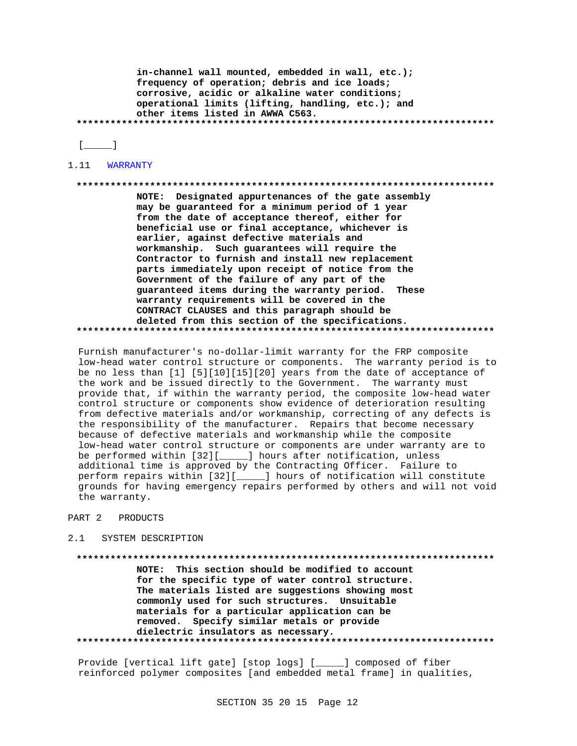in-channel wall mounted, embedded in wall, etc.); frequency of operation; debris and ice loads; corrosive, acidic or alkaline water conditions; operational limits (lifting, handling, etc.); and other items listed in AWWA C563. 

 $[$ 

1.11 WARRANTY

### 

NOTE: Designated appurtenances of the gate assembly may be guaranteed for a minimum period of 1 year from the date of acceptance thereof, either for beneficial use or final acceptance, whichever is earlier, against defective materials and workmanship. Such guarantees will require the Contractor to furnish and install new replacement parts immediately upon receipt of notice from the Government of the failure of any part of the guaranteed items during the warranty period. These warranty requirements will be covered in the CONTRACT CLAUSES and this paragraph should be deleted from this section of the specifications. 

Furnish manufacturer's no-dollar-limit warranty for the FRP composite low-head water control structure or components. The warranty period is to be no less than [1] [5][10][15][20] years from the date of acceptance of the work and be issued directly to the Government. The warranty must provide that, if within the warranty period, the composite low-head water control structure or components show evidence of deterioration resulting from defective materials and/or workmanship, correcting of any defects is the responsibility of the manufacturer. Repairs that become necessary because of defective materials and workmanship while the composite low-head water control structure or components are under warranty are to be performed within [32][\_\_\_\_\_] hours after notification, unless additional time is approved by the Contracting Officer. Failure to perform repairs within [32][\_\_\_\_\_] hours of notification will constitute grounds for having emergency repairs performed by others and will not void the warranty.

### PART 2 PRODUCTS

### SYSTEM DESCRIPTION  $2 \quad 1$

NOTE: This section should be modified to account for the specific type of water control structure. The materials listed are suggestions showing most commonly used for such structures. Unsuitable materials for a particular application can be removed. Specify similar metals or provide dielectric insulators as necessary. 

Provide [vertical lift gate] [stop logs] [\_\_\_\_\_] composed of fiber reinforced polymer composites [and embedded metal frame] in qualities,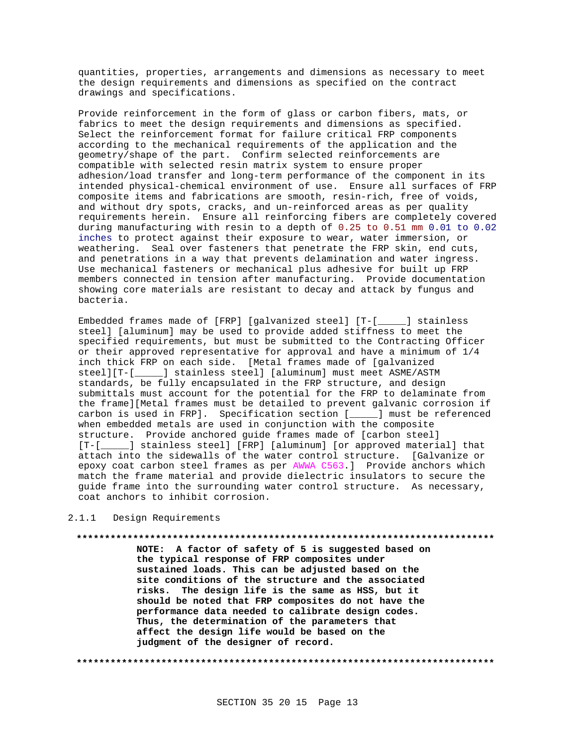quantities, properties, arrangements and dimensions as necessary to meet the design requirements and dimensions as specified on the contract drawings and specifications.

Provide reinforcement in the form of glass or carbon fibers, mats, or fabrics to meet the design requirements and dimensions as specified. Select the reinforcement format for failure critical FRP components according to the mechanical requirements of the application and the geometry/shape of the part. Confirm selected reinforcements are compatible with selected resin matrix system to ensure proper adhesion/load transfer and long-term performance of the component in its intended physical-chemical environment of use. Ensure all surfaces of FRP composite items and fabrications are smooth, resin-rich, free of voids, and without dry spots, cracks, and un-reinforced areas as per quality requirements herein. Ensure all reinforcing fibers are completely covered during manufacturing with resin to a depth of 0.25 to 0.51 mm 0.01 to 0.02 inches to protect against their exposure to wear, water immersion, or weathering. Seal over fasteners that penetrate the FRP skin, end cuts, and penetrations in a way that prevents delamination and water ingress. Use mechanical fasteners or mechanical plus adhesive for built up FRP members connected in tension after manufacturing. Provide documentation showing core materials are resistant to decay and attack by fungus and bacteria.

Embedded frames made of [FRP] [galvanized steel] [T-[\_\_\_\_\_] stainless steel] [aluminum] may be used to provide added stiffness to meet the specified requirements, but must be submitted to the Contracting Officer or their approved representative for approval and have a minimum of 1/4 inch thick FRP on each side. [Metal frames made of [galvanized steel][T-[\_\_\_\_\_] stainless steel] [aluminum] must meet ASME/ASTM standards, be fully encapsulated in the FRP structure, and design submittals must account for the potential for the FRP to delaminate from the frame][Metal frames must be detailed to prevent galvanic corrosion if carbon is used in FRP]. Specification section [\_\_\_\_\_] must be referenced when embedded metals are used in conjunction with the composite structure. Provide anchored guide frames made of [carbon steel] [T-[\_\_\_\_\_] stainless steel] [FRP] [aluminum] [or approved material] that attach into the sidewalls of the water control structure. [Galvanize or epoxy coat carbon steel frames as per AWWA C563.] Provide anchors which match the frame material and provide dielectric insulators to secure the guide frame into the surrounding water control structure. As necessary, coat anchors to inhibit corrosion.

# 2.1.1 Design Requirements

## **\*\*\*\*\*\*\*\*\*\*\*\*\*\*\*\*\*\*\*\*\*\*\*\*\*\*\*\*\*\*\*\*\*\*\*\*\*\*\*\*\*\*\*\*\*\*\*\*\*\*\*\*\*\*\*\*\*\*\*\*\*\*\*\*\*\*\*\*\*\*\*\*\*\***

**NOTE: A factor of safety of 5 is suggested based on the typical response of FRP composites under sustained loads. This can be adjusted based on the site conditions of the structure and the associated risks. The design life is the same as HSS, but it should be noted that FRP composites do not have the performance data needed to calibrate design codes. Thus, the determination of the parameters that affect the design life would be based on the judgment of the designer of record.**

**\*\*\*\*\*\*\*\*\*\*\*\*\*\*\*\*\*\*\*\*\*\*\*\*\*\*\*\*\*\*\*\*\*\*\*\*\*\*\*\*\*\*\*\*\*\*\*\*\*\*\*\*\*\*\*\*\*\*\*\*\*\*\*\*\*\*\*\*\*\*\*\*\*\***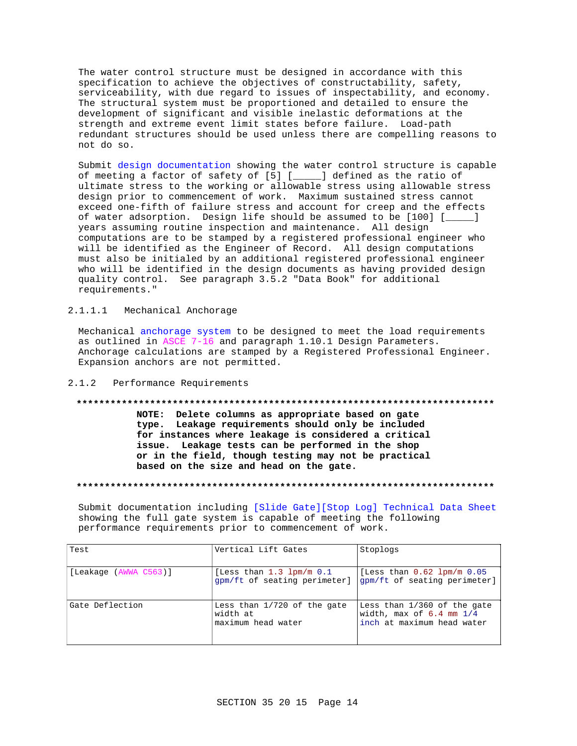The water control structure must be designed in accordance with this specification to achieve the objectives of constructability, safety, serviceability, with due regard to issues of inspectability, and economy. The structural system must be proportioned and detailed to ensure the development of significant and visible inelastic deformations at the strength and extreme event limit states before failure. Load-path redundant structures should be used unless there are compelling reasons to not do so.

Submit design documentation showing the water control structure is capable of meeting a factor of safety of [5] [\_\_\_\_\_] defined as the ratio of ultimate stress to the working or allowable stress using allowable stress design prior to commencement of work. Maximum sustained stress cannot exceed one-fifth of failure stress and account for creep and the effects of water adsorption. Design life should be assumed to be [100] [\_\_\_\_\_] years assuming routine inspection and maintenance. All design computations are to be stamped by a registered professional engineer who will be identified as the Engineer of Record. All design computations must also be initialed by an additional registered professional engineer who will be identified in the design documents as having provided design quality control. See paragraph 3.5.2 "Data Book" for additional requirements."

# 2.1.1.1 Mechanical Anchorage

Mechanical anchorage system to be designed to meet the load requirements as outlined in ASCE 7-16 and paragraph 1.10.1 Design Parameters. Anchorage calculations are stamped by a Registered Professional Engineer. Expansion anchors are not permitted.

# 2.1.2 Performance Requirements

## **\*\*\*\*\*\*\*\*\*\*\*\*\*\*\*\*\*\*\*\*\*\*\*\*\*\*\*\*\*\*\*\*\*\*\*\*\*\*\*\*\*\*\*\*\*\*\*\*\*\*\*\*\*\*\*\*\*\*\*\*\*\*\*\*\*\*\*\*\*\*\*\*\*\***

**NOTE: Delete columns as appropriate based on gate type. Leakage requirements should only be included for instances where leakage is considered a critical issue. Leakage tests can be performed in the shop or in the field, though testing may not be practical based on the size and head on the gate.**

## **\*\*\*\*\*\*\*\*\*\*\*\*\*\*\*\*\*\*\*\*\*\*\*\*\*\*\*\*\*\*\*\*\*\*\*\*\*\*\*\*\*\*\*\*\*\*\*\*\*\*\*\*\*\*\*\*\*\*\*\*\*\*\*\*\*\*\*\*\*\*\*\*\*\***

Submit documentation including [Slide Gate][Stop Log] Technical Data Sheet showing the full gate system is capable of meeting the following performance requirements prior to commencement of work.

| Test                  | Vertical Lift Gates                                           | Stoplogs                                                                                  |
|-----------------------|---------------------------------------------------------------|-------------------------------------------------------------------------------------------|
| [Leakage (AWWA C563)] | [Less than $1.3$ lpm/m $0.1$<br>qpm/ft of seating perimeter]  | [Less than $0.62$ lpm/m $0.05$<br>qpm/ft of seating perimeter]                            |
| Gate Deflection       | Less than 1/720 of the gate<br>width at<br>maximum head water | Less than 1/360 of the gate<br>width, max of $6.4$ mm $1/4$<br>inch at maximum head water |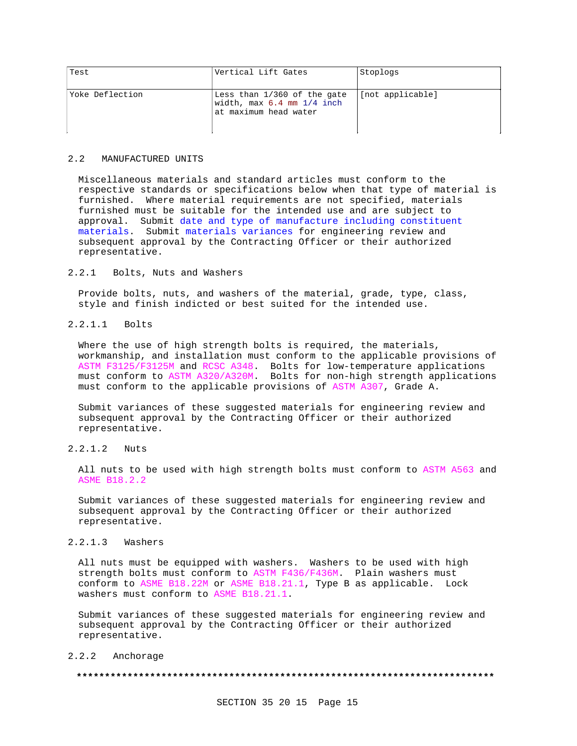| Test            | Vertical Lift Gates                                                                 | Stoplogs         |
|-----------------|-------------------------------------------------------------------------------------|------------------|
| Yoke Deflection | Less than 1/360 of the gate<br>width, max 6.4 mm 1/4 inch<br>lat maximum head water | [not applicable] |

## 2.2 MANUFACTURED UNITS

Miscellaneous materials and standard articles must conform to the respective standards or specifications below when that type of material is furnished. Where material requirements are not specified, materials furnished must be suitable for the intended use and are subject to approval. Submit date and type of manufacture including constituent materials. Submit materials variances for engineering review and subsequent approval by the Contracting Officer or their authorized representative.

# 2.2.1 Bolts, Nuts and Washers

Provide bolts, nuts, and washers of the material, grade, type, class, style and finish indicted or best suited for the intended use.

# 2.2.1.1 Bolts

Where the use of high strength bolts is required, the materials, workmanship, and installation must conform to the applicable provisions of ASTM F3125/F3125M and RCSC A348. Bolts for low-temperature applications must conform to ASTM A320/A320M. Bolts for non-high strength applications must conform to the applicable provisions of ASTM A307, Grade A.

Submit variances of these suggested materials for engineering review and subsequent approval by the Contracting Officer or their authorized representative.

# 2.2.1.2 Nuts

All nuts to be used with high strength bolts must conform to ASTM A563 and ASME B18.2.2

Submit variances of these suggested materials for engineering review and subsequent approval by the Contracting Officer or their authorized representative.

# 2.2.1.3 Washers

All nuts must be equipped with washers. Washers to be used with high strength bolts must conform to ASTM F436/F436M. Plain washers must conform to ASME B18.22M or ASME B18.21.1, Type B as applicable. Lock washers must conform to ASME B18.21.1.

Submit variances of these suggested materials for engineering review and subsequent approval by the Contracting Officer or their authorized representative.

# 2.2.2 Anchorage

### **\*\*\*\*\*\*\*\*\*\*\*\*\*\*\*\*\*\*\*\*\*\*\*\*\*\*\*\*\*\*\*\*\*\*\*\*\*\*\*\*\*\*\*\*\*\*\*\*\*\*\*\*\*\*\*\*\*\*\*\*\*\*\*\*\*\*\*\*\*\*\*\*\*\***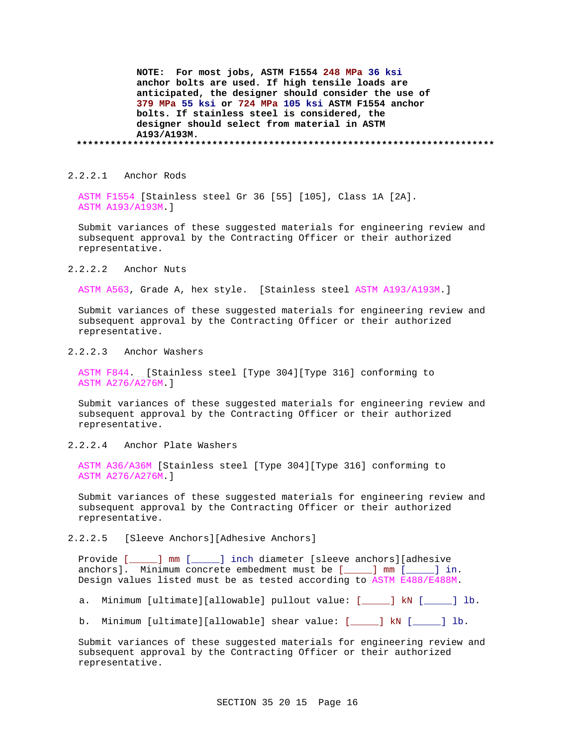**NOTE: For most jobs, ASTM F1554 248 MPa 36 ksi anchor bolts are used. If high tensile loads are anticipated, the designer should consider the use of 379 MPa 55 ksi or 724 MPa 105 ksi ASTM F1554 anchor bolts. If stainless steel is considered, the designer should select from material in ASTM A193/A193M. \*\*\*\*\*\*\*\*\*\*\*\*\*\*\*\*\*\*\*\*\*\*\*\*\*\*\*\*\*\*\*\*\*\*\*\*\*\*\*\*\*\*\*\*\*\*\*\*\*\*\*\*\*\*\*\*\*\*\*\*\*\*\*\*\*\*\*\*\*\*\*\*\*\***

2.2.2.1 Anchor Rods

ASTM F1554 [Stainless steel Gr 36 [55] [105], Class 1A [2A]. ASTM A193/A193M.]

Submit variances of these suggested materials for engineering review and subsequent approval by the Contracting Officer or their authorized representative.

2.2.2.2 Anchor Nuts

ASTM A563, Grade A, hex style. [Stainless steel ASTM A193/A193M.]

Submit variances of these suggested materials for engineering review and subsequent approval by the Contracting Officer or their authorized representative.

2.2.2.3 Anchor Washers

ASTM F844. [Stainless steel [Type 304][Type 316] conforming to ASTM A276/A276M.]

Submit variances of these suggested materials for engineering review and subsequent approval by the Contracting Officer or their authorized representative.

2.2.2.4 Anchor Plate Washers

ASTM A36/A36M [Stainless steel [Type 304][Type 316] conforming to ASTM A276/A276M.]

Submit variances of these suggested materials for engineering review and subsequent approval by the Contracting Officer or their authorized representative.

2.2.2.5 [Sleeve Anchors][Adhesive Anchors]

Provide [\_\_\_\_\_] mm [\_\_\_\_\_] inch diameter [sleeve anchors][adhesive anchors]. Minimum concrete embedment must be [\_\_\_\_] mm [\_\_\_\_] in. Design values listed must be as tested according to ASTM E488/E488M.

a. Minimum [ultimate][allowable] pullout value: [\_\_\_\_\_] kN [\_\_\_\_\_] lb.

b. Minimum [ultimate][allowable] shear value: [\_\_\_\_\_] kN [\_\_\_\_\_] lb.

Submit variances of these suggested materials for engineering review and subsequent approval by the Contracting Officer or their authorized representative.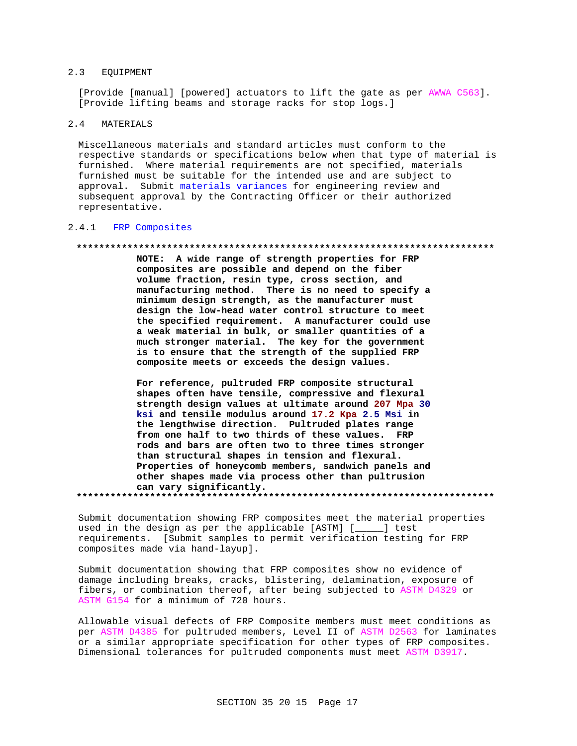#### $2.3$ EOUIPMENT

[Provide [manual] [powered] actuators to lift the gate as per AWWA C563]. [Provide lifting beams and storage racks for stop logs.]

### $2.4$ MATERIALS

Miscellaneous materials and standard articles must conform to the respective standards or specifications below when that type of material is furnished. Where material requirements are not specified, materials furnished must be suitable for the intended use and are subject to approval. Submit materials variances for engineering review and subsequent approval by the Contracting Officer or their authorized representative.

# 2.4.1 FRP Composites

## 

NOTE: A wide range of strength properties for FRP composites are possible and depend on the fiber volume fraction, resin type, cross section, and manufacturing method. There is no need to specify a minimum design strength, as the manufacturer must design the low-head water control structure to meet the specified requirement. A manufacturer could use a weak material in bulk, or smaller quantities of a much stronger material. The key for the government is to ensure that the strength of the supplied FRP composite meets or exceeds the design values.

For reference, pultruded FRP composite structural shapes often have tensile, compressive and flexural strength design values at ultimate around 207 Mpa 30 ksi and tensile modulus around 17.2 Kpa 2.5 Msi in the lengthwise direction. Pultruded plates range from one half to two thirds of these values. FRP rods and bars are often two to three times stronger than structural shapes in tension and flexural. Properties of honeycomb members, sandwich panels and other shapes made via process other than pultrusion can vary significantly.

Submit documentation showing FRP composites meet the material properties used in the design as per the applicable [ASTM] [\_\_\_\_] test requirements. [Submit samples to permit verification testing for FRP composites made via hand-layup].

Submit documentation showing that FRP composites show no evidence of damage including breaks, cracks, blistering, delamination, exposure of fibers, or combination thereof, after being subjected to ASTM D4329 or ASTM G154 for a minimum of 720 hours.

Allowable visual defects of FRP Composite members must meet conditions as per ASTM D4385 for pultruded members, Level II of ASTM D2563 for laminates or a similar appropriate specification for other types of FRP composites. Dimensional tolerances for pultruded components must meet ASTM D3917.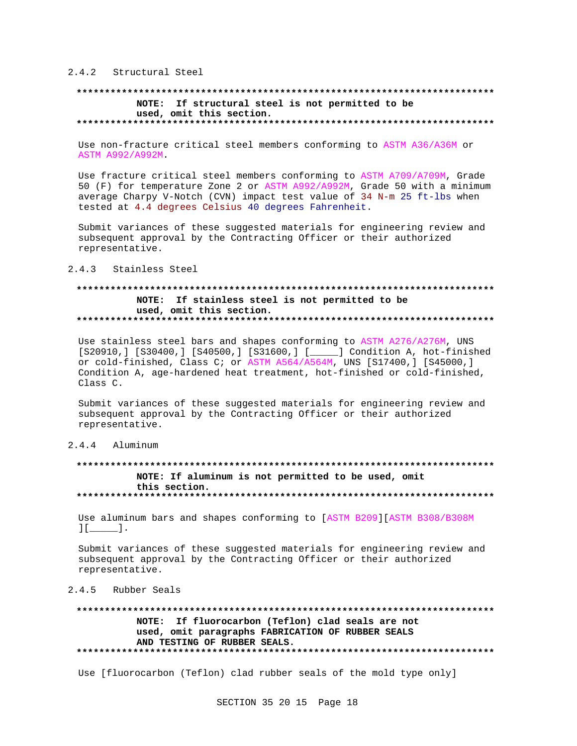# 2.4.2 Structural Steel

## 

## NOTE: If structural steel is not permitted to be used, omit this section.

Use non-fracture critical steel members conforming to ASTM A36/A36M or ASTM A992/A992M.

Use fracture critical steel members conforming to ASTM A709/A709M, Grade 50 (F) for temperature Zone 2 or ASTM A992/A992M, Grade 50 with a minimum average Charpy V-Notch (CVN) impact test value of 34 N-m 25 ft-lbs when tested at 4.4 degrees Celsius 40 degrees Fahrenheit.

Submit variances of these suggested materials for engineering review and subsequent approval by the Contracting Officer or their authorized representative.

#### $2.4.3$ Stainless Steel

# NOTE: If stainless steel is not permitted to be used, omit this section.

Use stainless steel bars and shapes conforming to ASTM A276/A276M, UNS [S20910,] [S30400,] [S40500,] [S31600,] [\_\_\_\_\_] Condition A, hot-finished or cold-finished, Class C; or ASTM A564/A564M, UNS [S17400,] [S45000,] Condition A, age-hardened heat treatment, hot-finished or cold-finished, Class C.

Submit variances of these suggested materials for engineering review and subsequent approval by the Contracting Officer or their authorized representative.

# 2.4.4 Aluminum

# NOTE: If aluminum is not permitted to be used, omit this section.

Use aluminum bars and shapes conforming to [ASTM B209][ASTM B308/B308M  $\begin{bmatrix} 1 & 1 \end{bmatrix}$ 

Submit variances of these suggested materials for engineering review and subsequent approval by the Contracting Officer or their authorized representative.

# 2.4.5 Rubber Seals

## . . . . . . . . . . . . . . . . NOTE: If fluorocarbon (Teflon) clad seals are not used, omit paragraphs FABRICATION OF RUBBER SEALS AND TESTING OF RUBBER SEALS.

Use [fluorocarbon (Teflon) clad rubber seals of the mold type only]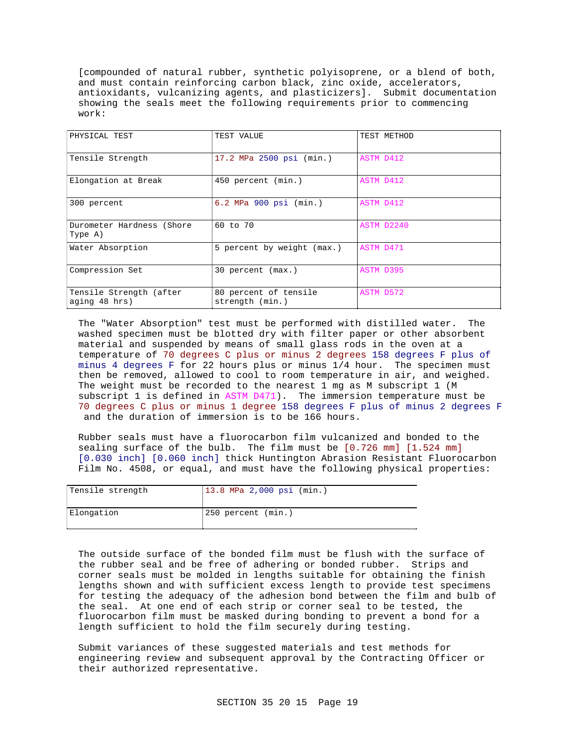[compounded of natural rubber, synthetic polyisoprene, or a blend of both, and must contain reinforcing carbon black, zinc oxide, accelerators, antioxidants, vulcanizing agents, and plasticizers]. Submit documentation showing the seals meet the following requirements prior to commencing work:

| PHYSICAL TEST                            | TEST VALUE                               | TEST METHOD |
|------------------------------------------|------------------------------------------|-------------|
| Tensile Strength                         | 17.2 MPa 2500 psi (min.)                 | ASTM D412   |
| Elongation at Break                      | 450 percent (min.)                       | ASTM D412   |
| 300 percent                              | 6.2 MPa 900 psi (min.)                   | ASTM D412   |
| Durometer Hardness (Shore<br>Type A)     | 60 to 70                                 | ASTM D2240  |
| Water Absorption                         | 5 percent by weight (max.)               | ASTM D471   |
| Compression Set                          | 30 percent (max.)                        | ASTM D395   |
| Tensile Strength (after<br>aging 48 hrs) | 80 percent of tensile<br>strength (min.) | ASTM D572   |

The "Water Absorption" test must be performed with distilled water. The washed specimen must be blotted dry with filter paper or other absorbent material and suspended by means of small glass rods in the oven at a temperature of 70 degrees C plus or minus 2 degrees 158 degrees F plus of minus 4 degrees F for 22 hours plus or minus 1/4 hour. The specimen must then be removed, allowed to cool to room temperature in air, and weighed. The weight must be recorded to the nearest 1 mg as M subscript 1 (M subscript 1 is defined in ASTM D471). The immersion temperature must be 70 degrees C plus or minus 1 degree 158 degrees F plus of minus 2 degrees F and the duration of immersion is to be 166 hours.

Rubber seals must have a fluorocarbon film vulcanized and bonded to the sealing surface of the bulb. The film must be [0.726 mm] [1.524 mm] [0.030 inch] [0.060 inch] thick Huntington Abrasion Resistant Fluorocarbon Film No. 4508, or equal, and must have the following physical properties:

| Tensile strength | 13.8 MPa 2,000 psi (min.) |
|------------------|---------------------------|
| Elongation       | 250 percent (min.)        |

The outside surface of the bonded film must be flush with the surface of the rubber seal and be free of adhering or bonded rubber. Strips and corner seals must be molded in lengths suitable for obtaining the finish lengths shown and with sufficient excess length to provide test specimens for testing the adequacy of the adhesion bond between the film and bulb of the seal. At one end of each strip or corner seal to be tested, the fluorocarbon film must be masked during bonding to prevent a bond for a length sufficient to hold the film securely during testing.

Submit variances of these suggested materials and test methods for engineering review and subsequent approval by the Contracting Officer or their authorized representative.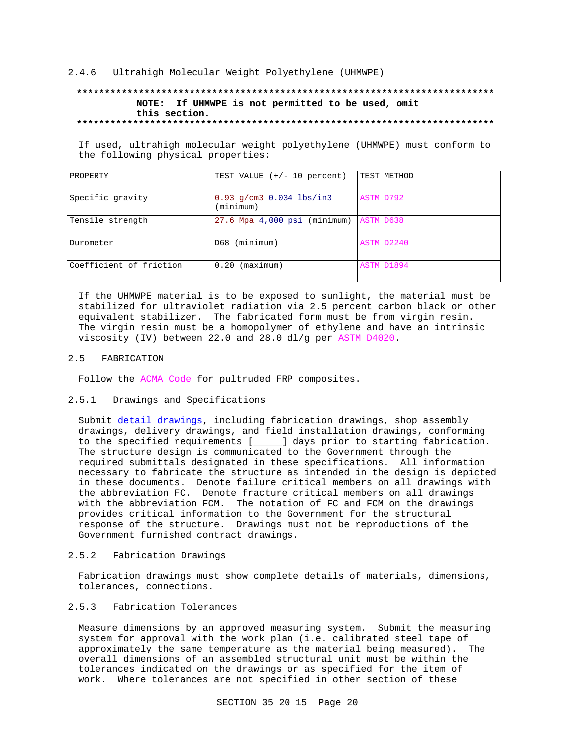# 2.4.6 Ultrahigh Molecular Weight Polyethylene (UHMWPE)

# **\*\*\*\*\*\*\*\*\*\*\*\*\*\*\*\*\*\*\*\*\*\*\*\*\*\*\*\*\*\*\*\*\*\*\*\*\*\*\*\*\*\*\*\*\*\*\*\*\*\*\*\*\*\*\*\*\*\*\*\*\*\*\*\*\*\*\*\*\*\*\*\*\*\* NOTE: If UHMWPE is not permitted to be used, omit this section. \*\*\*\*\*\*\*\*\*\*\*\*\*\*\*\*\*\*\*\*\*\*\*\*\*\*\*\*\*\*\*\*\*\*\*\*\*\*\*\*\*\*\*\*\*\*\*\*\*\*\*\*\*\*\*\*\*\*\*\*\*\*\*\*\*\*\*\*\*\*\*\*\*\***

If used, ultrahigh molecular weight polyethylene (UHMWPE) must conform to the following physical properties:

| PROPERTY                | TEST VALUE $(+/- 10$ percent)             | TEST METHOD |
|-------------------------|-------------------------------------------|-------------|
| Specific gravity        | $0.93$ g/cm3 $0.034$ lbs/in3<br>(minimum) | ASTM D792   |
| Tensile strength        | 27.6 Mpa 4,000 psi (minimum)              | ASTM D638   |
| Durometer               | (minimum)<br>D68                          | ASTM D2240  |
| Coefficient of friction | (maximum)<br>0.20                         | ASTM D1894  |

If the UHMWPE material is to be exposed to sunlight, the material must be stabilized for ultraviolet radiation via 2.5 percent carbon black or other equivalent stabilizer. The fabricated form must be from virgin resin. The virgin resin must be a homopolymer of ethylene and have an intrinsic viscosity (IV) between 22.0 and 28.0 dl/g per ASTM D4020.

# 2.5 FABRICATION

Follow the ACMA Code for pultruded FRP composites.

# 2.5.1 Drawings and Specifications

Submit detail drawings, including fabrication drawings, shop assembly drawings, delivery drawings, and field installation drawings, conforming to the specified requirements [\_\_\_\_\_] days prior to starting fabrication. The structure design is communicated to the Government through the required submittals designated in these specifications. All information necessary to fabricate the structure as intended in the design is depicted in these documents. Denote failure critical members on all drawings with the abbreviation FC. Denote fracture critical members on all drawings with the abbreviation FCM. The notation of FC and FCM on the drawings provides critical information to the Government for the structural response of the structure. Drawings must not be reproductions of the Government furnished contract drawings.

# 2.5.2 Fabrication Drawings

Fabrication drawings must show complete details of materials, dimensions, tolerances, connections.

# 2.5.3 Fabrication Tolerances

Measure dimensions by an approved measuring system. Submit the measuring system for approval with the work plan (i.e. calibrated steel tape of approximately the same temperature as the material being measured). The overall dimensions of an assembled structural unit must be within the tolerances indicated on the drawings or as specified for the item of work. Where tolerances are not specified in other section of these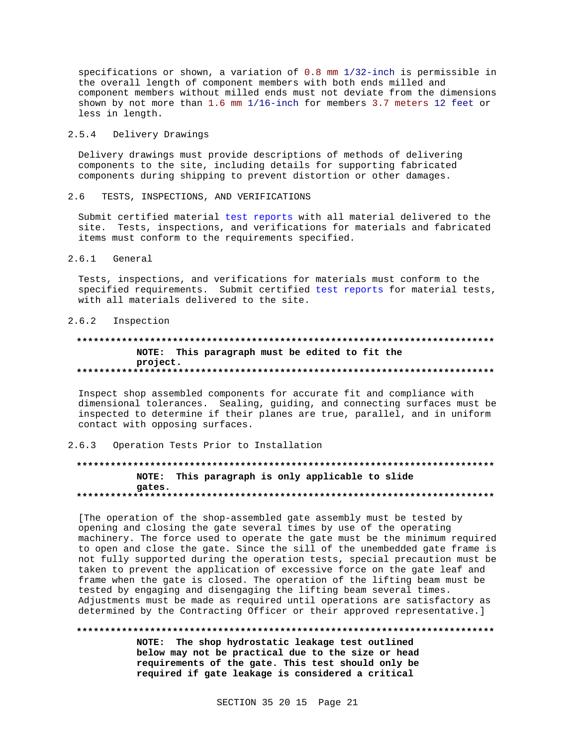specifications or shown, a variation of  $0.8$  mm  $1/32$ -inch is permissible in the overall length of component members with both ends milled and component members without milled ends must not deviate from the dimensions shown by not more than 1.6 mm 1/16-inch for members 3.7 meters 12 feet or less in length.

### $2.5.4$ Delivery Drawings

Delivery drawings must provide descriptions of methods of delivering components to the site, including details for supporting fabricated components during shipping to prevent distortion or other damages.

#### $2.6$ TESTS, INSPECTIONS, AND VERIFICATIONS

Submit certified material test reports with all material delivered to the site. Tests, inspections, and verifications for materials and fabricated items must conform to the requirements specified.

### $2.6.1$ General

Tests, inspections, and verifications for materials must conform to the specified requirements. Submit certified test reports for material tests, with all materials delivered to the site.

### $2.6.2$ Inspection

# NOTE: This paragraph must be edited to fit the project.

Inspect shop assembled components for accurate fit and compliance with dimensional tolerances. Sealing, guiding, and connecting surfaces must be inspected to determine if their planes are true, parallel, and in uniform contact with opposing surfaces.

### $2.6.3$ Operation Tests Prior to Installation

# NOTE: This paragraph is only applicable to slide gates.

[The operation of the shop-assembled gate assembly must be tested by opening and closing the gate several times by use of the operating machinery. The force used to operate the gate must be the minimum required to open and close the gate. Since the sill of the unembedded gate frame is not fully supported during the operation tests, special precaution must be taken to prevent the application of excessive force on the gate leaf and frame when the gate is closed. The operation of the lifting beam must be tested by engaging and disengaging the lifting beam several times. Adjustments must be made as required until operations are satisfactory as determined by the Contracting Officer or their approved representative.]

#### \*\*\*\*\*\*\*\*\*\*\*\*

NOTE: The shop hydrostatic leakage test outlined below may not be practical due to the size or head requirements of the gate. This test should only be required if gate leakage is considered a critical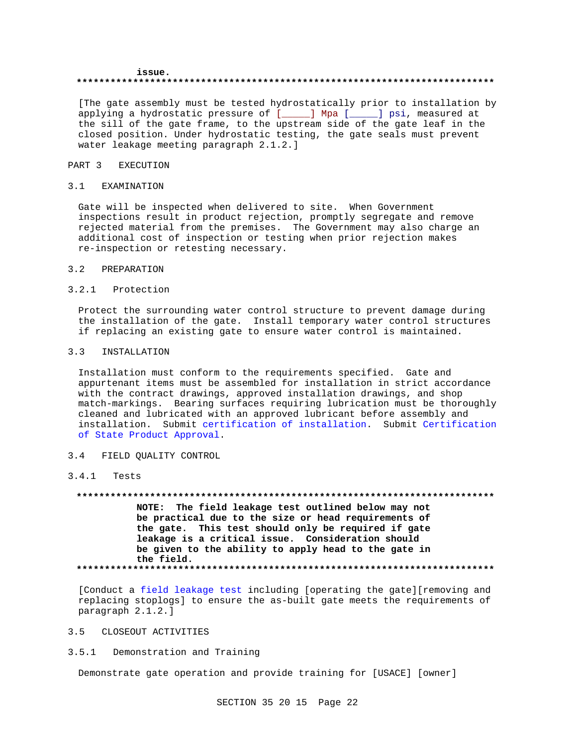### issue. والمترابط والمرابط والمرابط والمرابط والمرابط والمرابط والمرابط

[The gate assembly must be tested hydrostatically prior to installation by applying a hydrostatic pressure of [\_\_\_\_\_] Mpa [\_\_\_\_\_] psi, measured at the sill of the gate frame, to the upstream side of the gate leaf in the closed position. Under hydrostatic testing, the gate seals must prevent water leakage meeting paragraph 2.1.2.]

### PART 3 **EXECUTION**

### $3.1$ EXAMINATION

Gate will be inspected when delivered to site. When Government inspections result in product rejection, promptly segregate and remove rejected material from the premises. The Government may also charge an additional cost of inspection or testing when prior rejection makes re-inspection or retesting necessary.

### $3.2$ PREPARATION

# 3.2.1 Protection

Protect the surrounding water control structure to prevent damage during the installation of the gate. Install temporary water control structures if replacing an existing gate to ensure water control is maintained.

#### $3.3$ INSTALLATION

Installation must conform to the requirements specified. Gate and appurtenant items must be assembled for installation in strict accordance with the contract drawings, approved installation drawings, and shop match-markings. Bearing surfaces requiring lubrication must be thoroughly cleaned and lubricated with an approved lubricant before assembly and installation. Submit certification of installation. Submit Certification of State Product Approval.

### $3.4$ FIELD QUALITY CONTROL

### $3.4.1$ Tests

# NOTE: The field leakage test outlined below may not be practical due to the size or head requirements of the gate. This test should only be required if gate leakage is a critical issue. Consideration should be given to the ability to apply head to the gate in the field.

[Conduct a field leakage test including [operating the gate][removing and replacing stoplogs] to ensure the as-built gate meets the requirements of paragraph 2.1.2.]

# 3.5 CLOSEOUT ACTIVITIES

## 3.5.1 Demonstration and Training

Demonstrate gate operation and provide training for [USACE] [owner]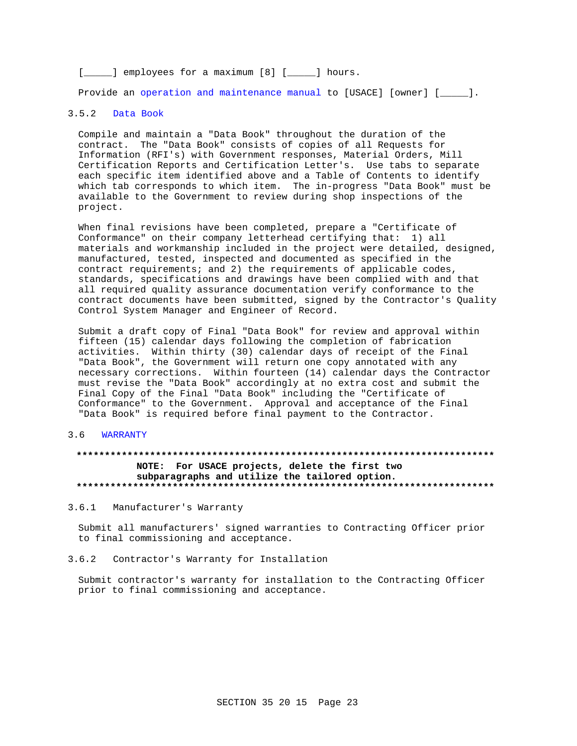[\_\_\_\_\_] employees for a maximum [8] [\_\_\_\_\_] hours.

Provide an operation and maintenance manual to [USACE] [owner] [\_\_\_\_].

### $3.5.2$ Data Book

Compile and maintain a "Data Book" throughout the duration of the contract. The "Data Book" consists of copies of all Requests for Information (RFI's) with Government responses, Material Orders, Mill Certification Reports and Certification Letter's. Use tabs to separate each specific item identified above and a Table of Contents to identify which tab corresponds to which item. The in-progress "Data Book" must be available to the Government to review during shop inspections of the project.

When final revisions have been completed, prepare a "Certificate of Conformance" on their company letterhead certifying that: 1) all materials and workmanship included in the project were detailed, designed, manufactured, tested, inspected and documented as specified in the contract requirements; and 2) the requirements of applicable codes, standards, specifications and drawings have been complied with and that all required quality assurance documentation verify conformance to the contract documents have been submitted, signed by the Contractor's Quality Control System Manager and Engineer of Record.

Submit a draft copy of Final "Data Book" for review and approval within fifteen (15) calendar days following the completion of fabrication activities. Within thirty (30) calendar days of receipt of the Final "Data Book", the Government will return one copy annotated with any necessary corrections. Within fourteen (14) calendar days the Contractor must revise the "Data Book" accordingly at no extra cost and submit the Final Copy of the Final "Data Book" including the "Certificate of Conformance" to the Government. Approval and acceptance of the Final "Data Book" is required before final payment to the Contractor.

### $3.6$ **WARRANTY**

# NOTE: For USACE projects, delete the first two subparagraphs and utilize the tailored option.

3.6.1 Manufacturer's Warranty

Submit all manufacturers' signed warranties to Contracting Officer prior to final commissioning and acceptance.

 $3.6.2$ Contractor's Warranty for Installation

Submit contractor's warranty for installation to the Contracting Officer prior to final commissioning and acceptance.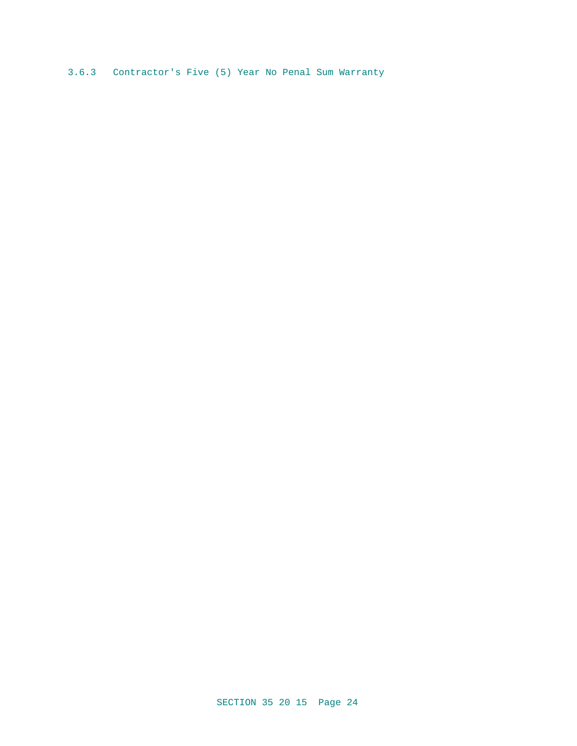3.6.3 Contractor's Five (5) Year No Penal Sum Warranty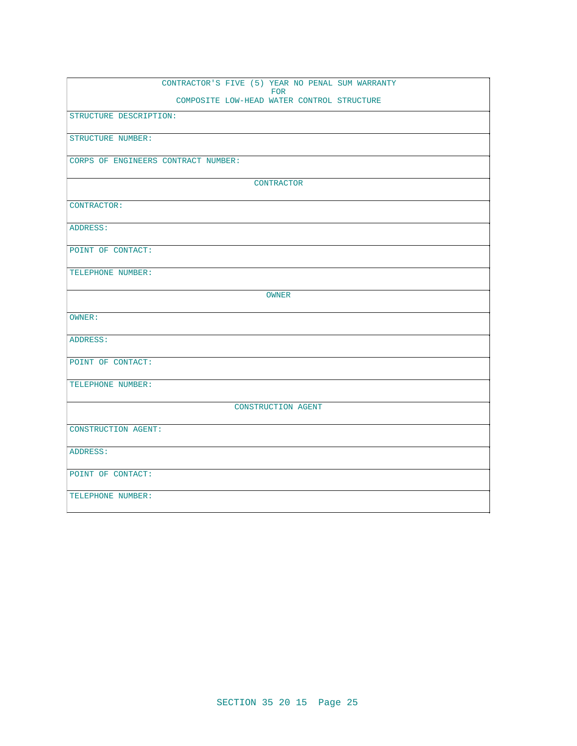|                            | CONTRACTOR'S FIVE (5) YEAR NO PENAL SUM WARRANTY<br><b>FOR</b> |
|----------------------------|----------------------------------------------------------------|
|                            | COMPOSITE LOW-HEAD WATER CONTROL STRUCTURE                     |
| STRUCTURE DESCRIPTION:     |                                                                |
| STRUCTURE NUMBER:          |                                                                |
|                            | CORPS OF ENGINEERS CONTRACT NUMBER:                            |
|                            | CONTRACTOR                                                     |
| CONTRACTOR:                |                                                                |
| ADDRESS:                   |                                                                |
| POINT OF CONTACT:          |                                                                |
| TELEPHONE NUMBER:          |                                                                |
|                            | OWNER                                                          |
| OWNER:                     |                                                                |
| ADDRESS:                   |                                                                |
| POINT OF CONTACT:          |                                                                |
| TELEPHONE NUMBER:          |                                                                |
|                            | CONSTRUCTION AGENT                                             |
| <b>CONSTRUCTION AGENT:</b> |                                                                |
| ADDRESS:                   |                                                                |
| POINT OF CONTACT:          |                                                                |
| TELEPHONE NUMBER:          |                                                                |
|                            |                                                                |